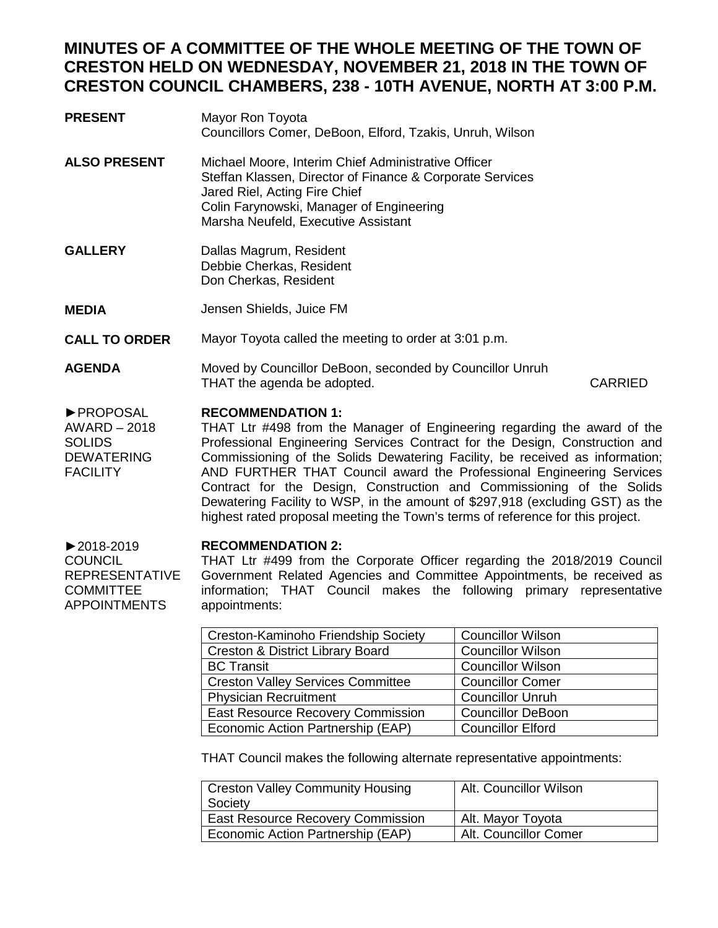## **MINUTES OF A COMMITTEE OF THE WHOLE MEETING OF THE TOWN OF CRESTON HELD ON WEDNESDAY, NOVEMBER 21, 2018 IN THE TOWN OF CRESTON COUNCIL CHAMBERS, 238 - 10TH AVENUE, NORTH AT 3:00 P.M.**

- **PRESENT** Mayor Ron Toyota Councillors Comer, DeBoon, Elford, Tzakis, Unruh, Wilson **ALSO PRESENT** Michael Moore, Interim Chief Administrative Officer Steffan Klassen, Director of Finance & Corporate Services Jared Riel, Acting Fire Chief Colin Farynowski, Manager of Engineering Marsha Neufeld, Executive Assistant **GALLERY MEDIA CALL TO ORDER** Dallas Magrum, Resident Debbie Cherkas, Resident Don Cherkas, Resident Jensen Shields, Juice FM Mayor Toyota called the meeting to order at 3:01 p.m.
- **AGENDA** Moved by Councillor DeBoon, seconded by Councillor Unruh THAT the agenda be adopted. CARRIED

## ►PROPOSAL **RECOMMENDATION 1:**

AWARD – 2018 SOLIDS DEWATERING **FACILITY** THAT Ltr #498 from the Manager of Engineering regarding the award of the Professional Engineering Services Contract for the Design, Construction and Commissioning of the Solids Dewatering Facility, be received as information; AND FURTHER THAT Council award the Professional Engineering Services Contract for the Design, Construction and Commissioning of the Solids Dewatering Facility to WSP, in the amount of \$297,918 (excluding GST) as the highest rated proposal meeting the Town's terms of reference for this project.

## **RECOMMENDATION 2:**

►2018-2019 **COUNCIL** REPRESENTATIVE COMMITTEE APPOINTMENTS THAT Ltr #499 from the Corporate Officer regarding the 2018/2019 Council Government Related Agencies and Committee Appointments, be received as information; THAT Council makes the following primary representative appointments:

| Creston-Kaminoho Friendship Society      | <b>Councillor Wilson</b> |
|------------------------------------------|--------------------------|
| Creston & District Library Board         | <b>Councillor Wilson</b> |
| <b>BC</b> Transit                        | <b>Councillor Wilson</b> |
| <b>Creston Valley Services Committee</b> | <b>Councillor Comer</b>  |
| <b>Physician Recruitment</b>             | <b>Councillor Unruh</b>  |
| East Resource Recovery Commission        | <b>Councillor DeBoon</b> |
| Economic Action Partnership (EAP)        | <b>Councillor Elford</b> |

THAT Council makes the following alternate representative appointments:

| <b>Creston Valley Community Housing</b><br>Society | Alt. Councillor Wilson |
|----------------------------------------------------|------------------------|
| <b>East Resource Recovery Commission</b>           | Alt. Mayor Toyota      |
| Economic Action Partnership (EAP)                  | Alt. Councillor Comer  |